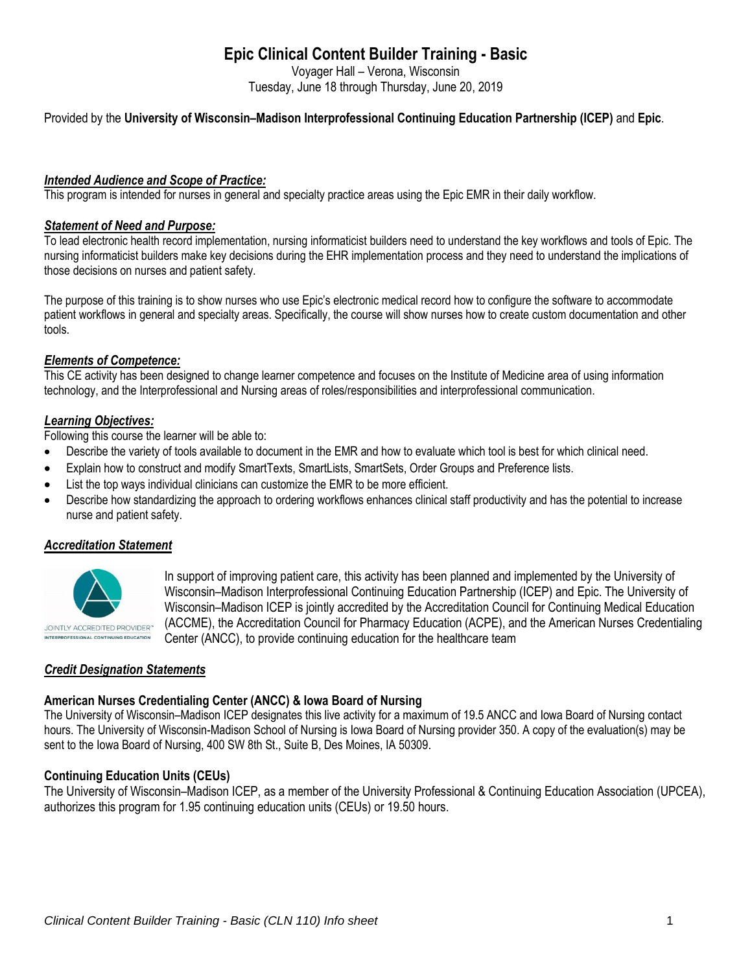# **Epic Clinical Content Builder Training - Basic**

Voyager Hall – Verona, Wisconsin Tuesday, June 18 through Thursday, June 20, 2019

## Provided by the **University of Wisconsin–Madison Interprofessional Continuing Education Partnership (ICEP)** and **Epic**.

### *Intended Audience and Scope of Practice:*

This program is intended for nurses in general and specialty practice areas using the Epic EMR in their daily workflow.

#### *Statement of Need and Purpose:*

To lead electronic health record implementation, nursing informaticist builders need to understand the key workflows and tools of Epic. The nursing informaticist builders make key decisions during the EHR implementation process and they need to understand the implications of those decisions on nurses and patient safety.

The purpose of this training is to show nurses who use Epic's electronic medical record how to configure the software to accommodate patient workflows in general and specialty areas. Specifically, the course will show nurses how to create custom documentation and other tools.

#### *Elements of Competence:*

This CE activity has been designed to change learner competence and focuses on the Institute of Medicine area of using information technology, and the Interprofessional and Nursing areas of roles/responsibilities and interprofessional communication.

#### *Learning Objectives:*

Following this course the learner will be able to:

- Describe the variety of tools available to document in the EMR and how to evaluate which tool is best for which clinical need.
- Explain how to construct and modify SmartTexts, SmartLists, SmartSets, Order Groups and Preference lists.
- List the top ways individual clinicians can customize the EMR to be more efficient.
- Describe how standardizing the approach to ordering workflows enhances clinical staff productivity and has the potential to increase nurse and patient safety.

## *Accreditation Statement*



In support of improving patient care, this activity has been planned and implemented by the University of Wisconsin–Madison Interprofessional Continuing Education Partnership (ICEP) and Epic. The University of Wisconsin–Madison ICEP is jointly accredited by the Accreditation Council for Continuing Medical Education (ACCME), the Accreditation Council for Pharmacy Education (ACPE), and the American Nurses Credentialing Center (ANCC), to provide continuing education for the healthcare team

## *Credit Designation Statements*

#### **American Nurses Credentialing Center (ANCC) & Iowa Board of Nursing**

The University of Wisconsin–Madison ICEP designates this live activity for a maximum of 19.5 ANCC and Iowa Board of Nursing contact hours. The University of Wisconsin-Madison School of Nursing is Iowa Board of Nursing provider 350. A copy of the evaluation(s) may be sent to the Iowa Board of Nursing, 400 SW 8th St., Suite B, Des Moines, IA 50309.

## **Continuing Education Units (CEUs)**

The University of Wisconsin–Madison ICEP, as a member of the University Professional & Continuing Education Association (UPCEA), authorizes this program for 1.95 continuing education units (CEUs) or 19.50 hours.